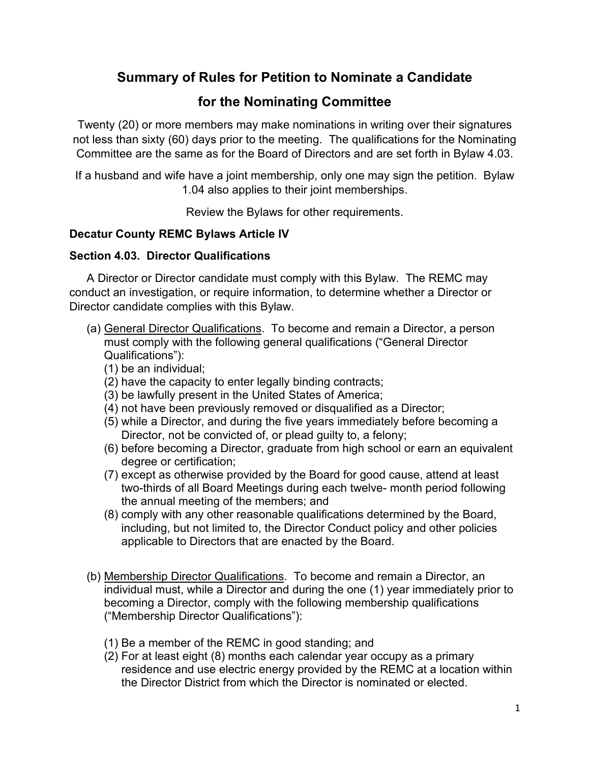# **Summary of Rules for Petition to Nominate a Candidate**

# **for the Nominating Committee**

Twenty (20) or more members may make nominations in writing over their signatures not less than sixty (60) days prior to the meeting. The qualifications for the Nominating Committee are the same as for the Board of Directors and are set forth in Bylaw 4.03.

If a husband and wife have a joint membership, only one may sign the petition. Bylaw 1.04 also applies to their joint memberships.

Review the Bylaws for other requirements.

## **Decatur County REMC Bylaws Article IV**

### **Section 4.03. Director Qualifications**

A Director or Director candidate must comply with this Bylaw. The REMC may conduct an investigation, or require information, to determine whether a Director or Director candidate complies with this Bylaw.

- (a) General Director Qualifications. To become and remain a Director, a person must comply with the following general qualifications ("General Director Qualifications"):
	- (1) be an individual;
	- (2) have the capacity to enter legally binding contracts;
	- (3) be lawfully present in the United States of America;
	- (4) not have been previously removed or disqualified as a Director;
	- (5) while a Director, and during the five years immediately before becoming a Director, not be convicted of, or plead guilty to, a felony;
	- (6) before becoming a Director, graduate from high school or earn an equivalent degree or certification;
	- (7) except as otherwise provided by the Board for good cause, attend at least two-thirds of all Board Meetings during each twelve- month period following the annual meeting of the members; and
	- (8) comply with any other reasonable qualifications determined by the Board, including, but not limited to, the Director Conduct policy and other policies applicable to Directors that are enacted by the Board.
- (b) Membership Director Qualifications. To become and remain a Director, an individual must, while a Director and during the one (1) year immediately prior to becoming a Director, comply with the following membership qualifications ("Membership Director Qualifications"):
	- (1) Be a member of the REMC in good standing; and
	- (2) For at least eight (8) months each calendar year occupy as a primary residence and use electric energy provided by the REMC at a location within the Director District from which the Director is nominated or elected.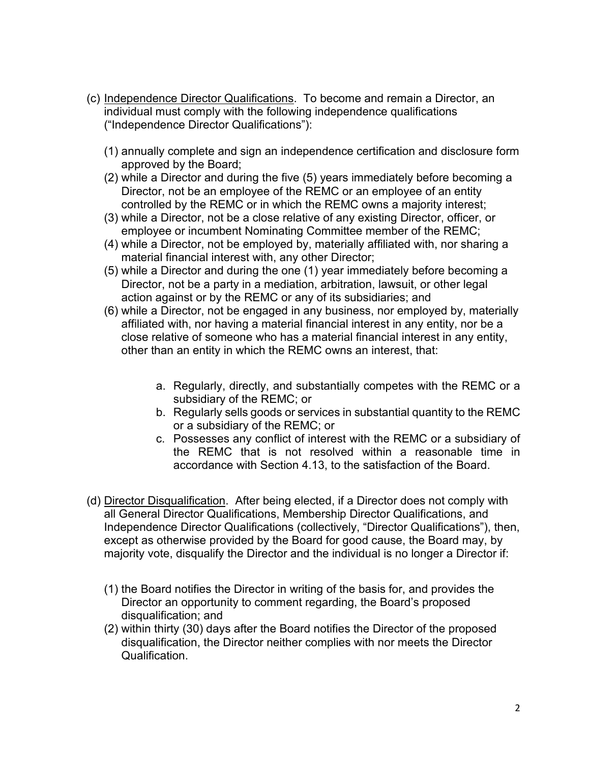- (c) Independence Director Qualifications. To become and remain a Director, an individual must comply with the following independence qualifications ("Independence Director Qualifications"):
	- (1) annually complete and sign an independence certification and disclosure form approved by the Board;
	- (2) while a Director and during the five (5) years immediately before becoming a Director, not be an employee of the REMC or an employee of an entity controlled by the REMC or in which the REMC owns a majority interest;
	- (3) while a Director, not be a close relative of any existing Director, officer, or employee or incumbent Nominating Committee member of the REMC;
	- (4) while a Director, not be employed by, materially affiliated with, nor sharing a material financial interest with, any other Director;
	- (5) while a Director and during the one (1) year immediately before becoming a Director, not be a party in a mediation, arbitration, lawsuit, or other legal action against or by the REMC or any of its subsidiaries; and
	- (6) while a Director, not be engaged in any business, nor employed by, materially affiliated with, nor having a material financial interest in any entity, nor be a close relative of someone who has a material financial interest in any entity, other than an entity in which the REMC owns an interest, that:
		- a. Regularly, directly, and substantially competes with the REMC or a subsidiary of the REMC; or
		- b. Regularly sells goods or services in substantial quantity to the REMC or a subsidiary of the REMC; or
		- c. Possesses any conflict of interest with the REMC or a subsidiary of the REMC that is not resolved within a reasonable time in accordance with Section 4.13, to the satisfaction of the Board.
- (d) Director Disqualification. After being elected, if a Director does not comply with all General Director Qualifications, Membership Director Qualifications, and Independence Director Qualifications (collectively, "Director Qualifications"), then, except as otherwise provided by the Board for good cause, the Board may, by majority vote, disqualify the Director and the individual is no longer a Director if:
	- (1) the Board notifies the Director in writing of the basis for, and provides the Director an opportunity to comment regarding, the Board's proposed disqualification; and
	- (2) within thirty (30) days after the Board notifies the Director of the proposed disqualification, the Director neither complies with nor meets the Director Qualification.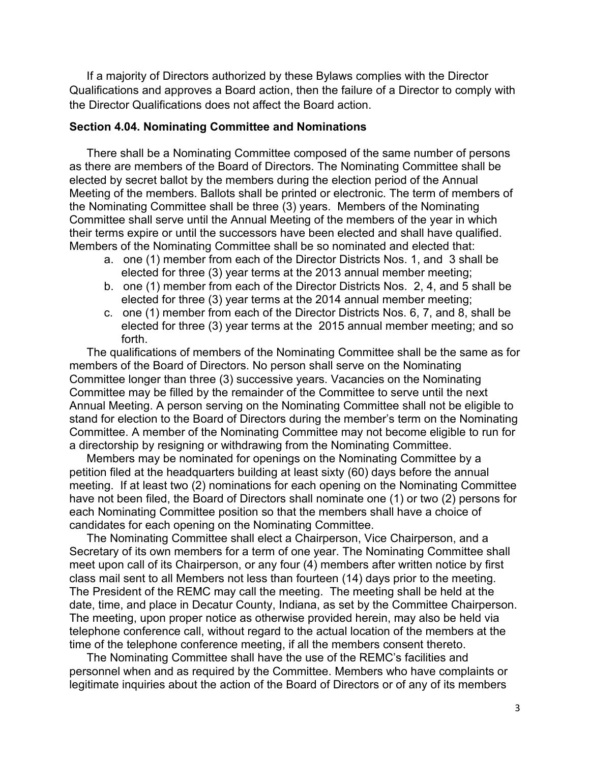If a majority of Directors authorized by these Bylaws complies with the Director Qualifications and approves a Board action, then the failure of a Director to comply with the Director Qualifications does not affect the Board action.

#### **Section 4.04. Nominating Committee and Nominations**

There shall be a Nominating Committee composed of the same number of persons as there are members of the Board of Directors. The Nominating Committee shall be elected by secret ballot by the members during the election period of the Annual Meeting of the members. Ballots shall be printed or electronic. The term of members of the Nominating Committee shall be three (3) years. Members of the Nominating Committee shall serve until the Annual Meeting of the members of the year in which their terms expire or until the successors have been elected and shall have qualified. Members of the Nominating Committee shall be so nominated and elected that:

- a. one (1) member from each of the Director Districts Nos. 1, and 3 shall be elected for three (3) year terms at the 2013 annual member meeting;
- b. one (1) member from each of the Director Districts Nos. 2, 4, and 5 shall be elected for three (3) year terms at the 2014 annual member meeting;
- c. one (1) member from each of the Director Districts Nos. 6, 7, and 8, shall be elected for three (3) year terms at the 2015 annual member meeting; and so forth.

The qualifications of members of the Nominating Committee shall be the same as for members of the Board of Directors. No person shall serve on the Nominating Committee longer than three (3) successive years. Vacancies on the Nominating Committee may be filled by the remainder of the Committee to serve until the next Annual Meeting. A person serving on the Nominating Committee shall not be eligible to stand for election to the Board of Directors during the member's term on the Nominating Committee. A member of the Nominating Committee may not become eligible to run for a directorship by resigning or withdrawing from the Nominating Committee.

Members may be nominated for openings on the Nominating Committee by a petition filed at the headquarters building at least sixty (60) days before the annual meeting. If at least two (2) nominations for each opening on the Nominating Committee have not been filed, the Board of Directors shall nominate one (1) or two (2) persons for each Nominating Committee position so that the members shall have a choice of candidates for each opening on the Nominating Committee.

The Nominating Committee shall elect a Chairperson, Vice Chairperson, and a Secretary of its own members for a term of one year. The Nominating Committee shall meet upon call of its Chairperson, or any four (4) members after written notice by first class mail sent to all Members not less than fourteen (14) days prior to the meeting. The President of the REMC may call the meeting. The meeting shall be held at the date, time, and place in Decatur County, Indiana, as set by the Committee Chairperson. The meeting, upon proper notice as otherwise provided herein, may also be held via telephone conference call, without regard to the actual location of the members at the time of the telephone conference meeting, if all the members consent thereto.

The Nominating Committee shall have the use of the REMC's facilities and personnel when and as required by the Committee. Members who have complaints or legitimate inquiries about the action of the Board of Directors or of any of its members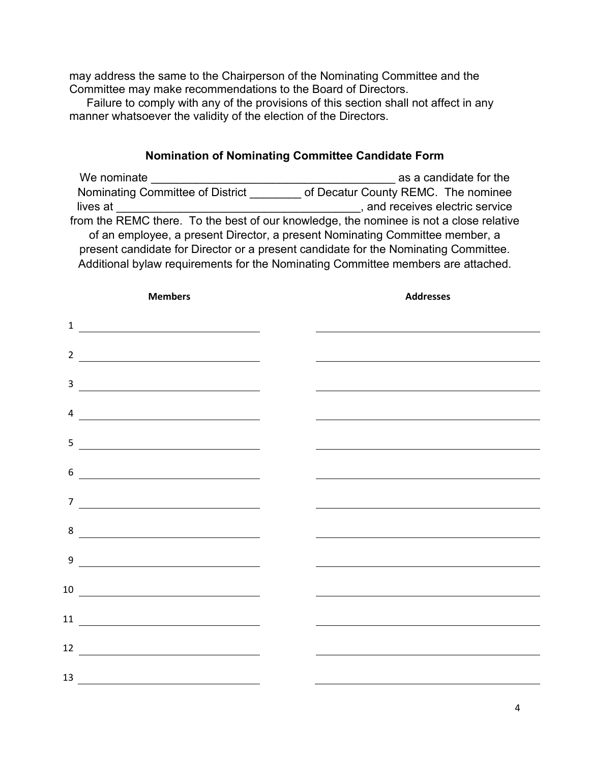may address the same to the Chairperson of the Nominating Committee and the Committee may make recommendations to the Board of Directors.

Failure to comply with any of the provisions of this section shall not affect in any manner whatsoever the validity of the election of the Directors.

### **Nomination of Nominating Committee Candidate Form**

We nominate **We nominate**  $\alpha$  as a candidate for the Nominating Committee of District \_\_\_\_\_\_\_\_ of Decatur County REMC. The nominee lives at \_\_\_\_\_\_\_\_\_\_\_\_\_\_\_\_\_\_\_\_\_\_\_\_\_\_\_\_\_\_\_\_\_\_\_\_\_\_, and receives electric service from the REMC there. To the best of our knowledge, the nominee is not a close relative of an employee, a present Director, a present Nominating Committee member, a present candidate for Director or a present candidate for the Nominating Committee. Additional bylaw requirements for the Nominating Committee members are attached.

| <b>Members</b>                                                                                                                                                                                                                                                                                                                                                                                                                                           | <b>Addresses</b>                                                                                                     |
|----------------------------------------------------------------------------------------------------------------------------------------------------------------------------------------------------------------------------------------------------------------------------------------------------------------------------------------------------------------------------------------------------------------------------------------------------------|----------------------------------------------------------------------------------------------------------------------|
| $\frac{1}{1}$ $\frac{1}{1}$ $\frac{1}{1}$ $\frac{1}{1}$ $\frac{1}{1}$ $\frac{1}{1}$ $\frac{1}{1}$ $\frac{1}{1}$ $\frac{1}{1}$ $\frac{1}{1}$ $\frac{1}{1}$ $\frac{1}{1}$ $\frac{1}{1}$ $\frac{1}{1}$ $\frac{1}{1}$ $\frac{1}{1}$ $\frac{1}{1}$ $\frac{1}{1}$ $\frac{1}{1}$ $\frac{1}{1}$ $\frac{1}{1}$ $\frac{1}{1}$                                                                                                                                      |                                                                                                                      |
| $\overline{2}$<br><u> 1989 - Andrea Brand, Amerikaansk politiker (</u>                                                                                                                                                                                                                                                                                                                                                                                   |                                                                                                                      |
| $\begin{tabular}{c} 3 & \begin{tabular}{@{}c@{}} \end{tabular} \end{tabular}$                                                                                                                                                                                                                                                                                                                                                                            |                                                                                                                      |
|                                                                                                                                                                                                                                                                                                                                                                                                                                                          |                                                                                                                      |
|                                                                                                                                                                                                                                                                                                                                                                                                                                                          |                                                                                                                      |
| 6                                                                                                                                                                                                                                                                                                                                                                                                                                                        |                                                                                                                      |
| $\begin{tabular}{c} $7 \end{tabular}$                                                                                                                                                                                                                                                                                                                                                                                                                    |                                                                                                                      |
| 8                                                                                                                                                                                                                                                                                                                                                                                                                                                        |                                                                                                                      |
| $\begin{picture}(150,10) \put(0,0){\dashbox{0.5}(10,0){ }} \put(15,0){\circle{10}} \put(15,0){\circle{10}} \put(15,0){\circle{10}} \put(15,0){\circle{10}} \put(15,0){\circle{10}} \put(15,0){\circle{10}} \put(15,0){\circle{10}} \put(15,0){\circle{10}} \put(15,0){\circle{10}} \put(15,0){\circle{10}} \put(15,0){\circle{10}} \put(15,0){\circle{10}} \put(15,0){\circle{10}} \put(15$                                                              |                                                                                                                      |
| $\begin{tabular}{c} 10 & \hspace{1.5cm} \textcolor{red}{\textbf{--}} \end{tabular}$                                                                                                                                                                                                                                                                                                                                                                      | <u> 1989 - Johann Stein, marwolaethau a bhann an t-Amhain an t-Amhain an t-Amhain an t-Amhain an t-Amhain an t-A</u> |
| $\begin{tabular}{c} 11 \\ \hline \end{tabular}$                                                                                                                                                                                                                                                                                                                                                                                                          |                                                                                                                      |
| $\begin{array}{c c c c c} \hline \multicolumn{3}{c }{\textbf{12}} & \multicolumn{3}{c }{\textbf{12}} \\ \hline \multicolumn{3}{c }{\textbf{12}} & \multicolumn{3}{c }{\textbf{13}} \\ \hline \multicolumn{3}{c }{\textbf{14}} & \multicolumn{3}{c }{\textbf{15}} \\ \hline \multicolumn{3}{c }{\textbf{16}} & \multicolumn{3}{c }{\textbf{17}} \\ \hline \multicolumn{3}{c }{\textbf{18}} & \multicolumn{3}{c }{\textbf{19}} \\ \hline \multicolumn{3}{$ |                                                                                                                      |
| $\overline{\phantom{a}13}$ $\overline{\phantom{a}13}$                                                                                                                                                                                                                                                                                                                                                                                                    |                                                                                                                      |
|                                                                                                                                                                                                                                                                                                                                                                                                                                                          |                                                                                                                      |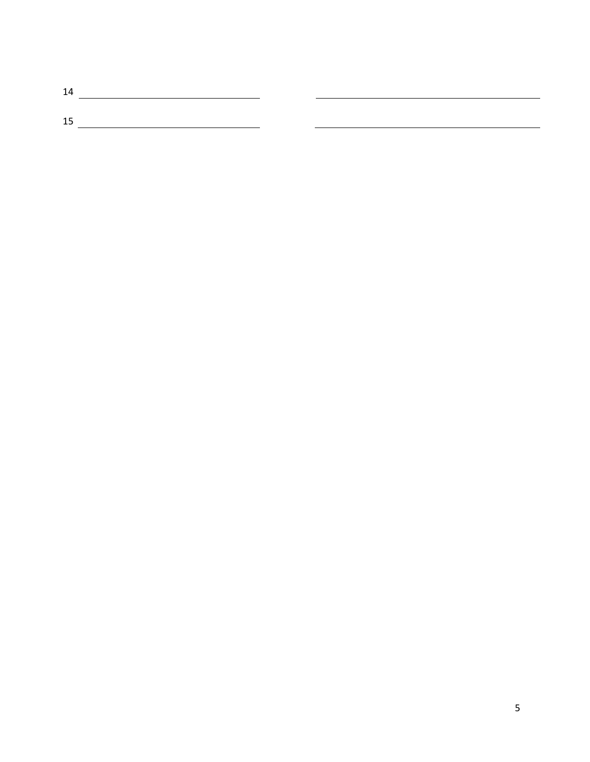| 14 |  |
|----|--|
|    |  |
| 15 |  |
|    |  |